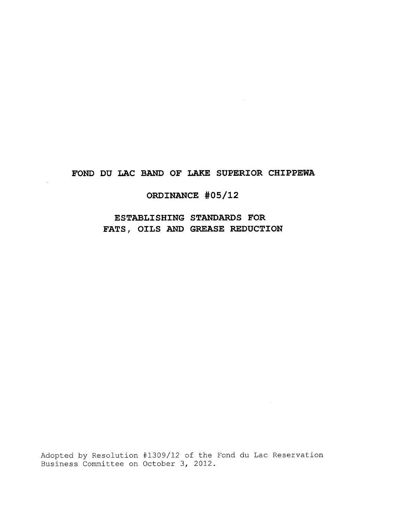# **FOND DU LAC BAND OF LAKE SUPERIOR CHIPPEWA**

# **ORDINANCE #05/12**

**ESTABLISHING STANDARDS FOR FATS, OILS AND GREASE REDUCTION**

Adopted by Resolution #1309/12 of the Fond du Lac Reservation Business Committee on October 3, 2012.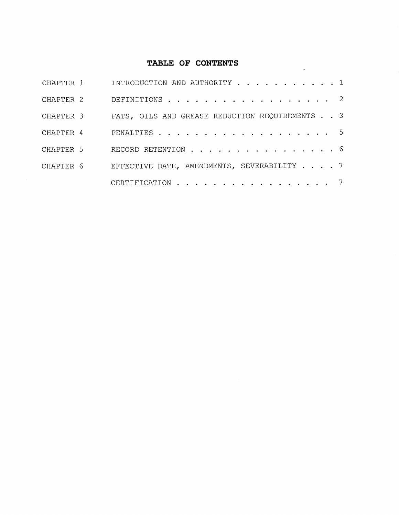# **TABLE OF CONTENTS**

 $\sim$ 

| CHAPTER 1 | INTRODUCTION AND AUTHORITY 1                   |
|-----------|------------------------------------------------|
| CHAPTER 2 | DEFINITIONS 2                                  |
| CHAPTER 3 | FATS, OILS AND GREASE REDUCTION REQUIREMENTS 3 |
| CHAPTER 4 | PENALTIES 5                                    |
| CHAPTER 5 | RECORD RETENTION 6                             |
| CHAPTER 6 | EFFECTIVE DATE, AMENDMENTS, SEVERABILITY 7     |
|           | CERTIFICATION 7                                |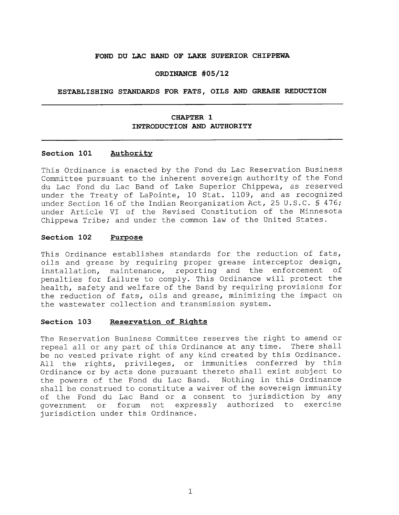#### **FOND DU LAC BAND OF LAKE SUPERIOR CHIPPEWA**

#### **ORDINANCE #05/12**

#### **ESTABLISHING STANDARDS FOR FATS, OILS AND GREASE REDUCTION**

# **CHAPTER 1 INTRODUCTION AND AUTHORITY**

#### **Section 101 Authority**

This Ordinance is enacted by the Fond du Lac Reservation Business Committee pursuant to the inherent sovereign authority of the Fond du Lac Fond du Lac Band of Lake Superior Chippewa, as reserved under the Treaty of LaPointe, 10 Stat. 1109, and as recognized under Section 16 of the Indian Reorganization Act, 25 U.S.C. § 476; under Article VI of the Revised Constitution of the Minnesota Chippewa Tribe; and under the common law of the United States.

#### **Section 102 Purpose**

This Ordinance establishes standards for the reduction of fats, oils and grease by requiring proper grease interceptor design, installation, maintenance, reporting and the enforcement of penalties for failure to comply. This Ordinance will protect the health, safety and welfare of the Band by requiring provisions for the reduction of fats, oils and grease, minimizing the impact on the wastewater collection and transmission system.

#### **Section 103 Reservation of Rights**

The Reservation Business Committee reserves the right to amend or repeal all or any part of this Ordinance at any time. There shall be no vested private right of any kind created by this Ordinance. All the rights, privileges, or immunities conferred by this Ordinance or by acts done pursuant thereto shall exist subject to<br>the powers of the Fond du Lac Band. Nothing in this Ordinance the powers of the Fond du Lac Band. shall be construed to constitute a waiver of the sovereign immunity of the Fond du Lac Band or a consent to jurisdiction by any government or forum not expressly authorized to exercise jurisdiction under this Ordinance.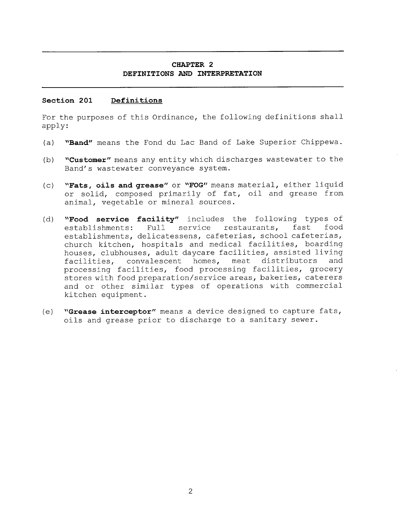# **CHAPTER 2 DEFINITIONS AND INTERPRETATION**

### **Section 201 Definitions**

For the purposes of this Ordinance, the following definitions shall apply:

- **(a) "Band"** means the Fond du Lac Band of Lake Superior Chippewa.
- **(b) "Customer"** means any entity which discharges wastewater to the Band's wastewater conveyance system.
- **(c) "Fats, oils and grease"** or **"FOG"** means material, either liquid or solid, composed primarily of fat, oil and grease from animal, vegetable or mineral sources.
- **(d) "Food service facility"** includes the following types of establishments: Full service restaurants, fast food establishments, delicatessens, cafeterias, school cafeterias, church kitchen, hospitals and medical facilities, boarding houses, clubhouses, adult daycare facilities, assisted living facilities, convalescent homes, meat distributors and processing facilities, food processing facilities, grocery stores with food preparation/service areas, bakeries, caterers and or other similar types of operations with commercial kitchen equipment.
- **(e) "Grease interceptor"** means a device designed to capture fats, oils and grease prior to discharge to a sanitary sewer.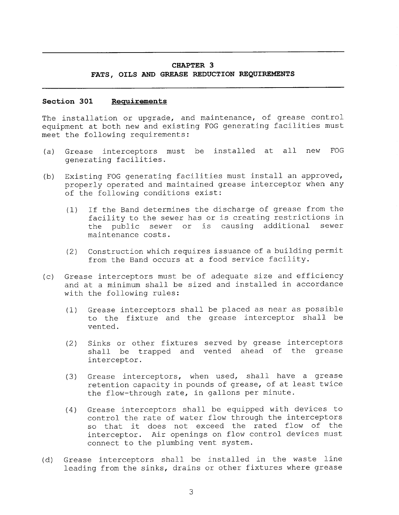# **CHAPTER 3 FATS, OILS AND GREASE REDUCTION REQUIREMENTS**

#### **Section 301 Requirements**

The installation or upgrade, and maintenance, of grease control equipment at both new and existing FOG generating facilities must meet the following requirements:

- (a) Grease interceptors must be installed at all new FOG generating facilities.
- (b) Existing FOG generating facilities must install an approved, properly operated and maintained grease interceptor when any of the following conditions exist:
	- (1) If the Band determines the discharge of grease from the facility to the sewer has or is creating restrictions in the public sewer or is causing additional sewer maintenance costs.
	- (2) Construction which requires issuance of a building permit from the Band occurs at a food service facility.
- (c) Grease interceptors must be of adequate size and efficiency and at a minimum shall be sized and installed in accordance with the following rules:
	- (1) Grease interceptors shall be placed as near as possible to the fixture and the grease interceptor shall be vented.
	- (2) Sinks or other fixtures served by grease interceptors shall be trapped and vented ahead of the grease interceptor.
	- (3) Grease interceptors, when used, shall have a grease retention capacity in pounds of grease, of at least twice the flow-through rate, in gallons per minute.
	- (4) Grease interceptors shall be equipped with devices to control the rate of water flow through the interceptors so that it does not exceed the rated flow of the interceptor. Air openings on flow control devices must connect to the plumbing vent system.
- (d) Grease interceptors shall be installed in the waste line leading from the sinks, drains or other fixtures where grease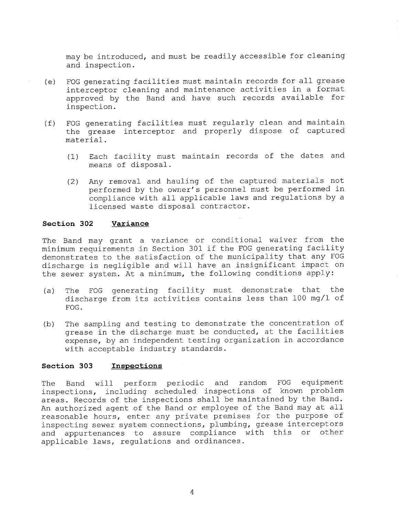may be introduced, and must be readily accessible for cleaning and inspection.

- (e) FOG generating facilities must maintain records for all grease interceptor cleaning and maintenance activities in a format approved by the Band and have such records available for inspection.
- (f) FOG generating facilities must regularly clean and maintain the grease interceptor and properly dispose of captured material.
	- (1) Each facility must maintain records of the dates and means of disposal.
	- (2) Any removal and hauling of the captured materials not performed by the owner's personnel must be performed in compliance with all applicable laws and regulations by a licensed waste disposal contractor.

#### **Section 302 Variance**

The Band may grant a variance or conditional waiver from the minimum requirements in Section 301 if the FOG generating facility demonstrates to the satisfaction of the municipality that any FOG discharge is negligible and will have an insignificant impact on the sewer system. At a minimum, the following conditions apply:

- (a) The FOG generating facility must demonstrate that the discharge from its activities contains less than 100 mg/1 of FOG.
- (b) The sampling and testing to demonstrate the concentration of grease in the discharge must be conducted, at the facilities expense, by an independent testing organization in accordance with acceptable industry standards.

#### **Section 303 Inspections**

The Band will perform periodic and random FOG equipment inspections, including scheduled inspections of known problem areas. Records of the inspections shall be maintained by the Band. An authorized agent of the Band or employee of the Band may at all reasonable hours, enter any private premises for the purpose of inspecting sewer system connections, plumbing, grease interceptors and appurtenances to assure compliance with this or other applicable laws, regulations and ordinances.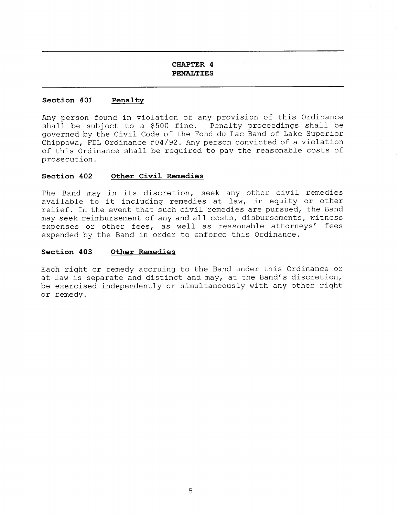# **CHAPTER 4 PENALTIES**

#### **Section 401 Penalty**

Any person found in violation of any provision of this Ordinance shall be subject to a \$500 fine. Penalty proceedings shall be governed by the Civil Code of the Fond du Lac Band of Lake Superior Chippewa, FDL Ordinance #04/92. Any person convicted of a violation of this Ordinance shall be required to pay the reasonable costs of prosecution.

#### **Section 402 Other Civil Remedies**

The Band may in its discretion, seek any other civil remedies available to it including remedies at law, in equity or other relief. In the event that such civil remedies are pursued, the Band may seek reimbursement of any and all costs, disbursements, witness expenses or other fees, as well as reasonable attorneys' fees expended by the Band in order to enforce this Ordinance.

#### **Section 403 Other Remedies**

Each right or remedy accruing to the Band under this Ordinance or at law is separate and distinct and may, at the Band's discretion, be exercised independently or simultaneously with any other right or remedy.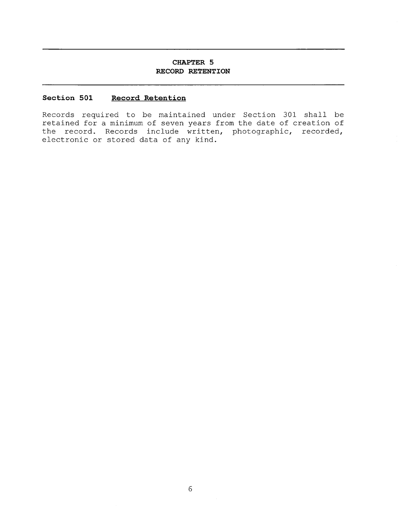# **CHAPTER 5 RECORD RETENTION**

## **Section 501 Record Retention**

Records required to be maintained under Section 301 shall be retained for a minimum of seven years from the date of creation of the record. Records include written, photographic, recorded, electronic or stored data of any kind.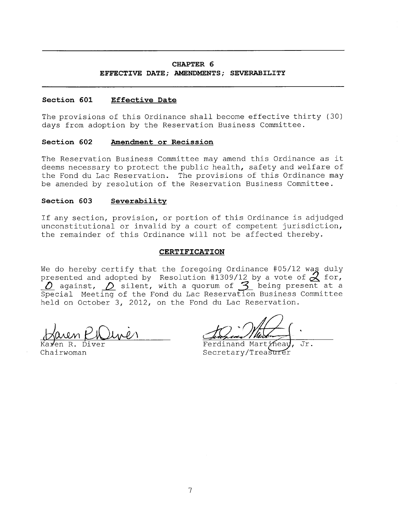## **CHAPTER 6**

# **EFFECTIVE DATE; AMENDMENTS; SEVERABILITY**

# **Section 601 Effective Date**

The provisions of this Ordinance shall become effective thirty (30) days from adoption by the Reservation Business Committee.

# **Section 602 Amendment or Recission**

The Reservation Business Committee may amend this Ordinance as it deems necessary to protect the public health, safety and welfare of the Fond du Lac Reservation. The provisions of this Ordinance may be amended by resolution of the Reservation Business Committee.

# **Section 603 Severability**

If any section, provision, or portion of this Ordinance is adjudged unconstitutional or invalid by a court of competent jurisdiction, the remainder of this Ordinance will not be affected thereby.

#### **CERTIFICATION**

We do hereby certify that the foregoing Ordinance #05/12 was duly presented and adopted by Resolution #1309/12 by a vote of  $\angle$  for,<br>  $\angle$  against,  $\angle$  silent, with a quorum of  $\angle$  being present at a Special Meeting of the Fond du Lac Reservation Business Committee held on October 3, 2012, on the Fond du Lac Reservation.

Karen R. Diver Chairwoman

Ferdinand Martinea Jr. Secretary/Treasurer